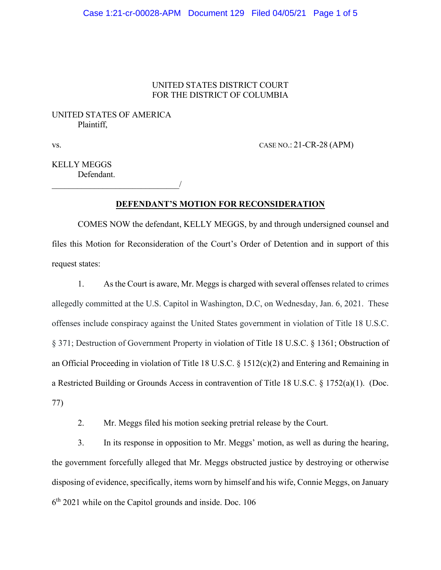## UNITED STATES DISTRICT COURT FOR THE DISTRICT OF COLUMBIA

# UNITED STATES OF AMERICA Plaintiff,

\_\_\_\_\_\_\_\_\_\_\_\_\_\_\_\_\_\_\_\_\_\_\_\_\_\_\_\_\_\_/

vs. CASE NO.: 21-CR-28 (APM)

KELLY MEGGS Defendant.

### **DEFENDANT'S MOTION FOR RECONSIDERATION**

COMES NOW the defendant, KELLY MEGGS, by and through undersigned counsel and files this Motion for Reconsideration of the Court's Order of Detention and in support of this request states:

1. As the Court is aware, Mr. Meggs is charged with several offenses related to crimes allegedly committed at the U.S. Capitol in Washington, D.C, on Wednesday, Jan. 6, 2021. These offenses include conspiracy against the United States government in violation of Title 18 U.S.C. § 371; Destruction of Government Property in violation of Title 18 U.S.C. § 1361; Obstruction of an Official Proceeding in violation of Title 18 U.S.C. § 1512(c)(2) and Entering and Remaining in a Restricted Building or Grounds Access in contravention of Title 18 U.S.C. § 1752(a)(1). (Doc. 77)

2. Mr. Meggs filed his motion seeking pretrial release by the Court.

3. In its response in opposition to Mr. Meggs' motion, as well as during the hearing, the government forcefully alleged that Mr. Meggs obstructed justice by destroying or otherwise disposing of evidence, specifically, items worn by himself and his wife, Connie Meggs, on January 6<sup>th</sup> 2021 while on the Capitol grounds and inside. Doc. 106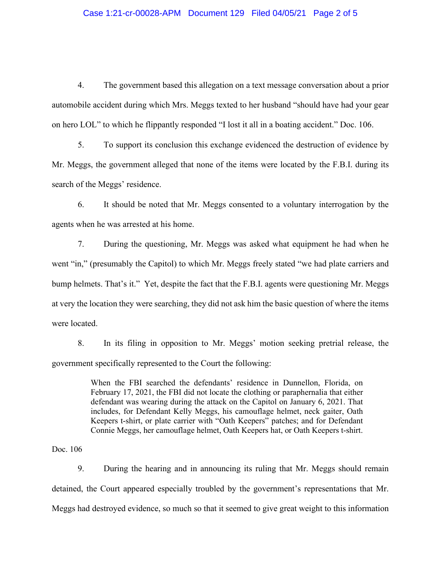#### Case 1:21-cr-00028-APM Document 129 Filed 04/05/21 Page 2 of 5

4. The government based this allegation on a text message conversation about a prior automobile accident during which Mrs. Meggs texted to her husband "should have had your gear on hero LOL" to which he flippantly responded "I lost it all in a boating accident." Doc. 106.

5. To support its conclusion this exchange evidenced the destruction of evidence by Mr. Meggs, the government alleged that none of the items were located by the F.B.I. during its search of the Meggs' residence.

6. It should be noted that Mr. Meggs consented to a voluntary interrogation by the agents when he was arrested at his home.

7. During the questioning, Mr. Meggs was asked what equipment he had when he went "in," (presumably the Capitol) to which Mr. Meggs freely stated "we had plate carriers and bump helmets. That's it." Yet, despite the fact that the F.B.I. agents were questioning Mr. Meggs at very the location they were searching, they did not ask him the basic question of where the items were located.

8. In its filing in opposition to Mr. Meggs' motion seeking pretrial release, the government specifically represented to the Court the following:

> When the FBI searched the defendants' residence in Dunnellon, Florida, on February 17, 2021, the FBI did not locate the clothing or paraphernalia that either defendant was wearing during the attack on the Capitol on January 6, 2021. That includes, for Defendant Kelly Meggs, his camouflage helmet, neck gaiter, Oath Keepers t-shirt, or plate carrier with "Oath Keepers" patches; and for Defendant Connie Meggs, her camouflage helmet, Oath Keepers hat, or Oath Keepers t-shirt.

Doc. 106

9. During the hearing and in announcing its ruling that Mr. Meggs should remain detained, the Court appeared especially troubled by the government's representations that Mr. Meggs had destroyed evidence, so much so that it seemed to give great weight to this information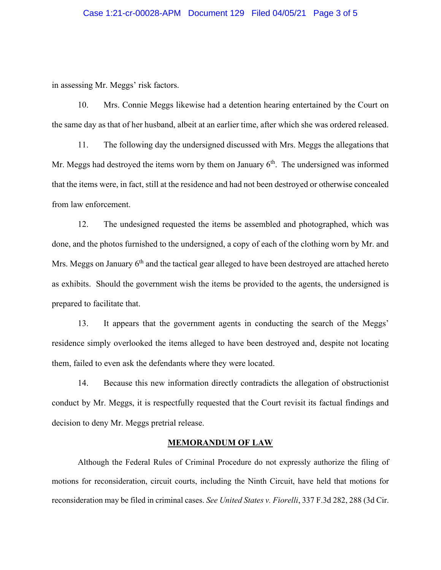in assessing Mr. Meggs' risk factors.

10. Mrs. Connie Meggs likewise had a detention hearing entertained by the Court on the same day as that of her husband, albeit at an earlier time, after which she was ordered released.

11. The following day the undersigned discussed with Mrs. Meggs the allegations that Mr. Meggs had destroyed the items worn by them on January  $6<sup>th</sup>$ . The undersigned was informed that the items were, in fact, still at the residence and had not been destroyed or otherwise concealed from law enforcement.

12. The undesigned requested the items be assembled and photographed, which was done, and the photos furnished to the undersigned, a copy of each of the clothing worn by Mr. and Mrs. Meggs on January  $6<sup>th</sup>$  and the tactical gear alleged to have been destroyed are attached hereto as exhibits. Should the government wish the items be provided to the agents, the undersigned is prepared to facilitate that.

13. It appears that the government agents in conducting the search of the Meggs' residence simply overlooked the items alleged to have been destroyed and, despite not locating them, failed to even ask the defendants where they were located.

14. Because this new information directly contradicts the allegation of obstructionist conduct by Mr. Meggs, it is respectfully requested that the Court revisit its factual findings and decision to deny Mr. Meggs pretrial release.

#### **MEMORANDUM OF LAW**

Although the Federal Rules of Criminal Procedure do not expressly authorize the filing of motions for reconsideration, circuit courts, including the Ninth Circuit, have held that motions for reconsideration may be filed in criminal cases. *See United States v. Fiorelli*, 337 F.3d 282, 288 (3d Cir.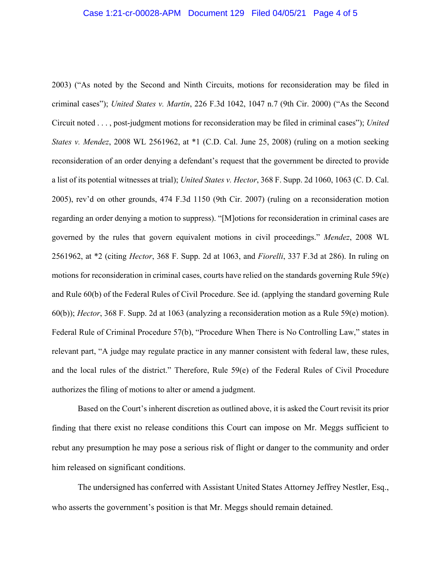2003) ("As noted by the Second and Ninth Circuits, motions for reconsideration may be filed in criminal cases"); *United States v. Martin*, 226 F.3d 1042, 1047 n.7 (9th Cir. 2000) ("As the Second Circuit noted . . . , post-judgment motions for reconsideration may be filed in criminal cases"); *United States v. Mendez*, 2008 WL 2561962, at \*1 (C.D. Cal. June 25, 2008) (ruling on a motion seeking reconsideration of an order denying a defendant's request that the government be directed to provide a list of its potential witnesses at trial); *United States v. Hector*, 368 F. Supp. 2d 1060, 1063 (C. D. Cal. 2005), rev'd on other grounds, 474 F.3d 1150 (9th Cir. 2007) (ruling on a reconsideration motion regarding an order denying a motion to suppress). "[M]otions for reconsideration in criminal cases are governed by the rules that govern equivalent motions in civil proceedings." *Mendez*, 2008 WL 2561962, at \*2 (citing *Hector*, 368 F. Supp. 2d at 1063, and *Fiorelli*, 337 F.3d at 286). In ruling on motions for reconsideration in criminal cases, courts have relied on the standards governing Rule 59(e) and Rule 60(b) of the Federal Rules of Civil Procedure. See id. (applying the standard governing Rule 60(b)); *Hector*, 368 F. Supp. 2d at 1063 (analyzing a reconsideration motion as a Rule 59(e) motion). Federal Rule of Criminal Procedure 57(b), "Procedure When There is No Controlling Law," states in relevant part, "A judge may regulate practice in any manner consistent with federal law, these rules, and the local rules of the district." Therefore, Rule 59(e) of the Federal Rules of Civil Procedure authorizes the filing of motions to alter or amend a judgment.

Based on the Court's inherent discretion as outlined above, it is asked the Court revisit its prior finding that there exist no release conditions this Court can impose on Mr. Meggs sufficient to rebut any presumption he may pose a serious risk of flight or danger to the community and order him released on significant conditions.

The undersigned has conferred with Assistant United States Attorney Jeffrey Nestler, Esq., who asserts the government's position is that Mr. Meggs should remain detained.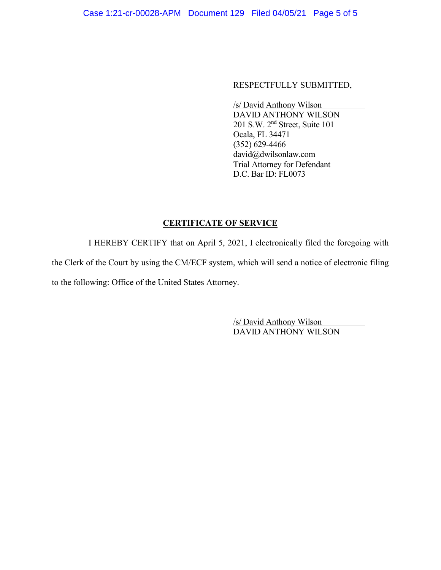RESPECTFULLY SUBMITTED,

 /s/ David Anthony Wilson DAVID ANTHONY WILSON 201 S.W. 2nd Street, Suite 101 Ocala, FL 34471 (352) 629-4466 david@dwilsonlaw.com Trial Attorney for Defendant D.C. Bar ID: FL0073

# **CERTIFICATE OF SERVICE**

 I HEREBY CERTIFY that on April 5, 2021, I electronically filed the foregoing with the Clerk of the Court by using the CM/ECF system, which will send a notice of electronic filing to the following: Office of the United States Attorney.

> /s/ David Anthony Wilson DAVID ANTHONY WILSON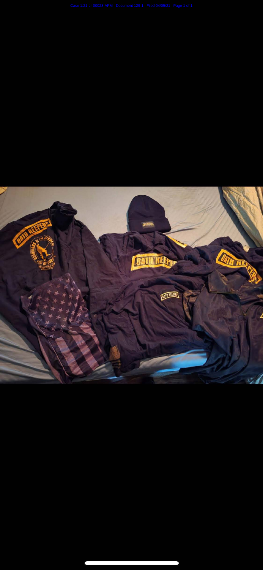